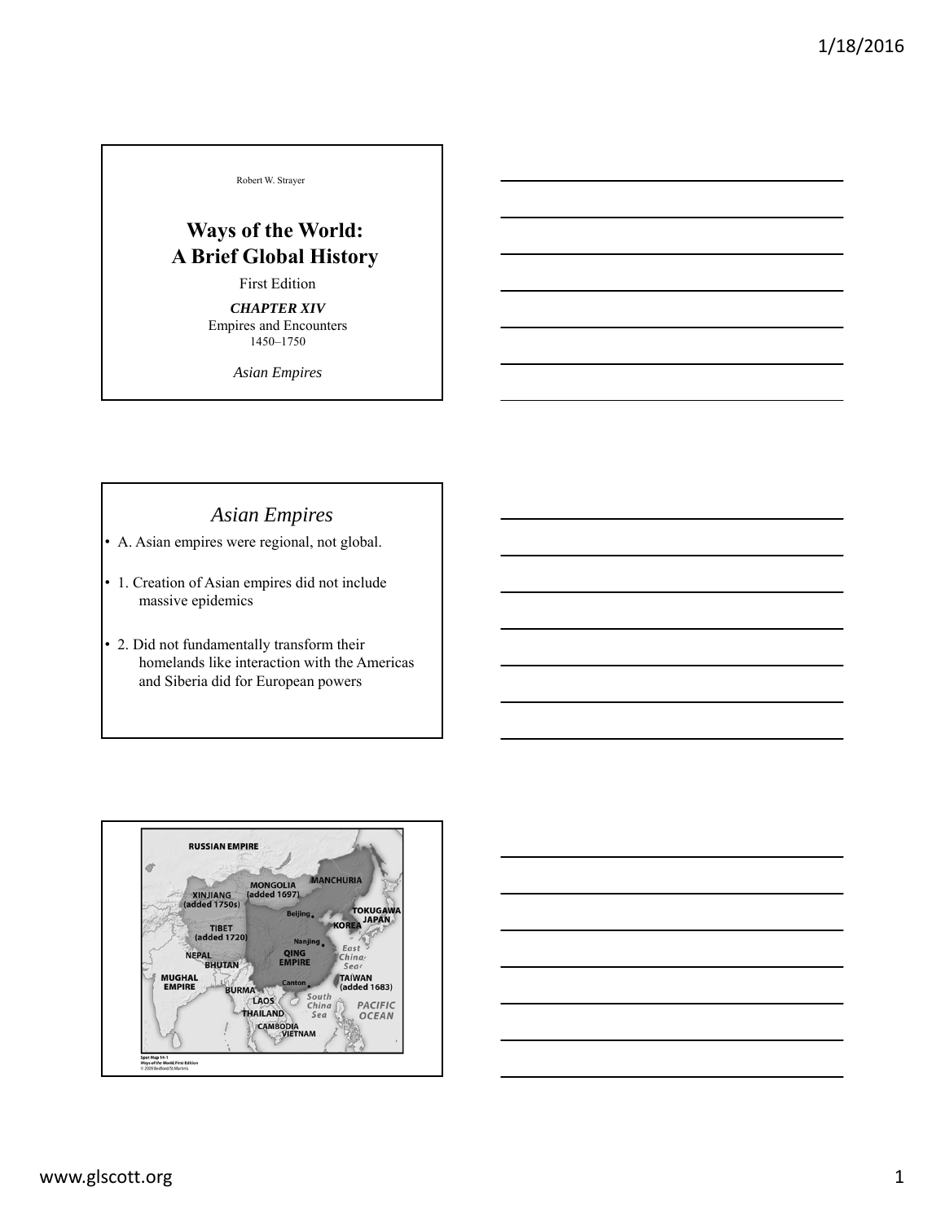Robert W. Strayer

# **Ways of the World: A Brief Global History**

#### First Edition

*CHAPTER XIV* Empires and Encounters 1450–1750

*Asian Empires*

# *Asian Empires*

- A. Asian empires were regional, not global.
- 1. Creation of Asian empires did not include massive epidemics
- 2. Did not fundamentally transform their homelands like interaction with the Americas and Siberia did for European powers



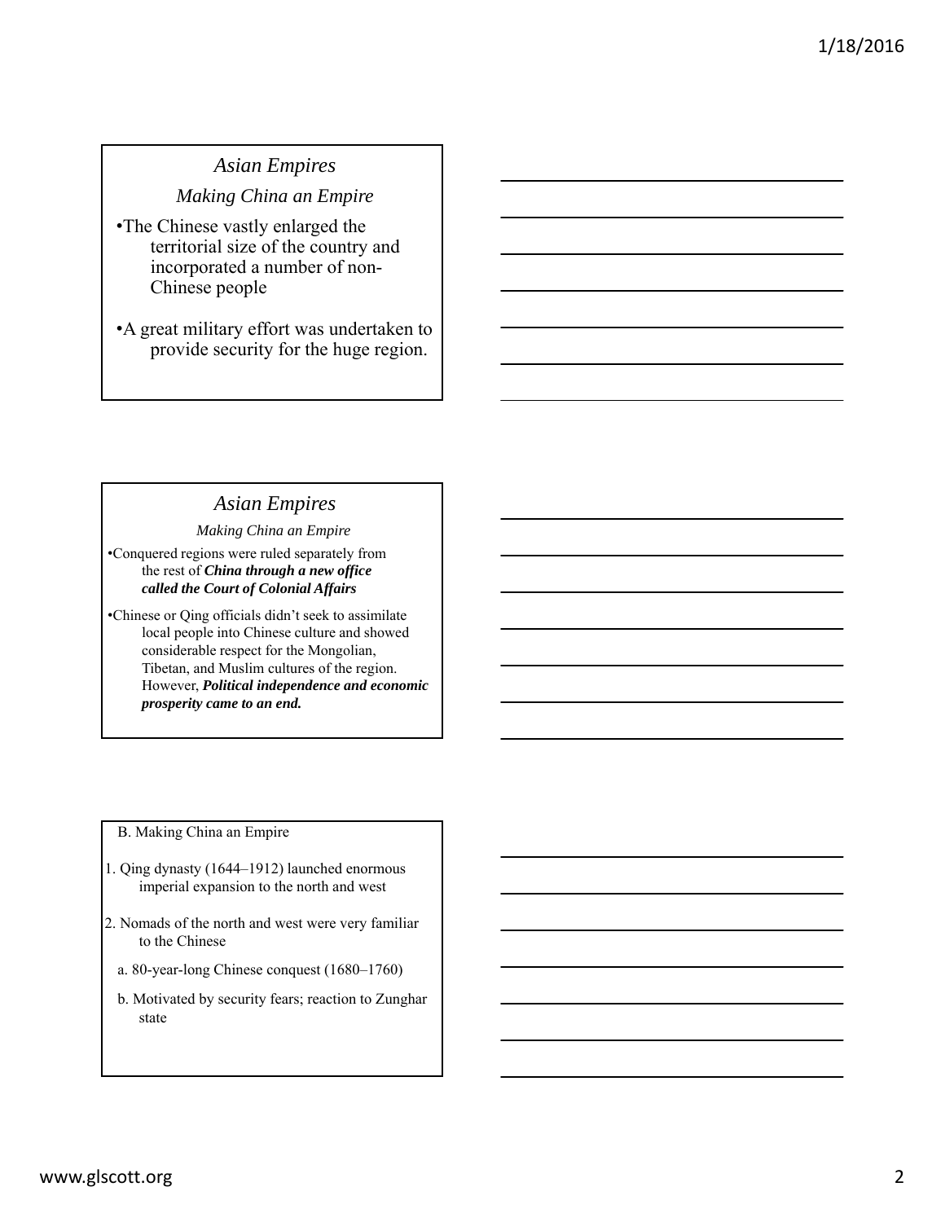# *Asian Empires*

### *Making China an Empire*

- •The Chinese vastly enlarged the territorial size of the country and incorporated a number of non-Chinese people
- •A great military effort was undertaken to provide security for the huge region.

# *Asian Empires*

#### *Making China an Empire*

•Conquered regions were ruled separately from the rest of *China through a new office called the Court of Colonial Affairs*

•Chinese or Qing officials didn't seek to assimilate local people into Chinese culture and showed considerable respect for the Mongolian, Tibetan, and Muslim cultures of the region. However, *Political independence and economic prosperity came to an end.*

B. Making China an Empire

- 1. Qing dynasty (1644–1912) launched enormous imperial expansion to the north and west
- 2. Nomads of the north and west were very familiar to the Chinese
	- a. 80-year-long Chinese conquest (1680–1760)
	- b. Motivated by security fears; reaction to Zunghar state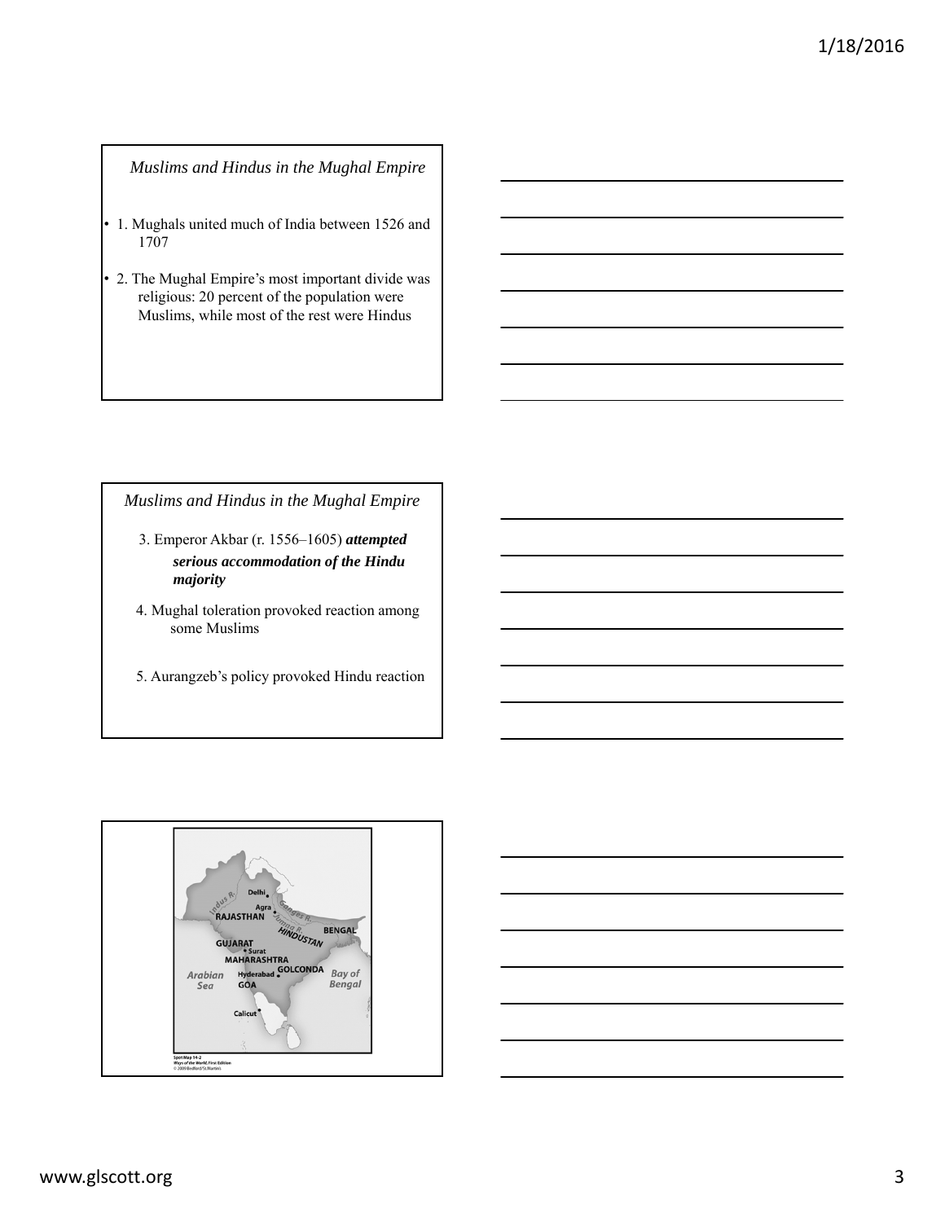#### *Muslims and Hindus in the Mughal Empire*

- 1. Mughals united much of India between 1526 and 1707
- 2. The Mughal Empire's most important divide was religious: 20 percent of the population were Muslims, while most of the rest were Hindus

*Muslims and Hindus in the Mughal Empire*

- 3. Emperor Akbar (r. 1556–1605) *attempted serious accommodation of the Hindu majority*
- 4. Mughal toleration provoked reaction among some Muslims
- 5. Aurangzeb's policy provoked Hindu reaction

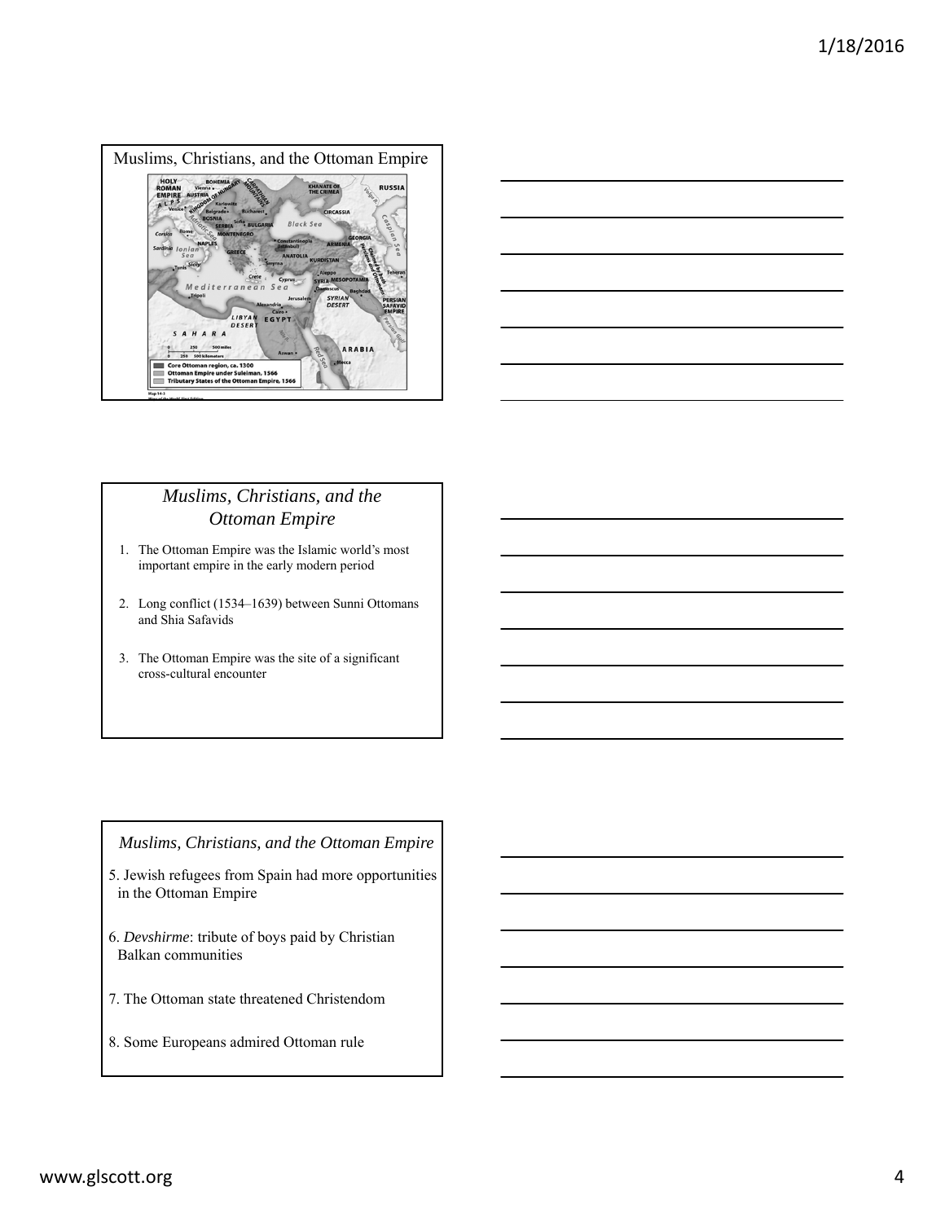



## *Muslims, Christians, and the Ottoman Empire*

- 1. The Ottoman Empire was the Islamic world's most important empire in the early modern period
- 2. Long conflict (1534–1639) between Sunni Ottomans and Shia Safavids
- 3. The Ottoman Empire was the site of a significant cross-cultural encounter

#### *Muslims, Christians, and the Ottoman Empire*

- 5. Jewish refugees from Spain had more opportunities in the Ottoman Empire
- 6. *Devshirme*: tribute of boys paid by Christian Balkan communities
- 7. The Ottoman state threatened Christendom
- 8. Some Europeans admired Ottoman rule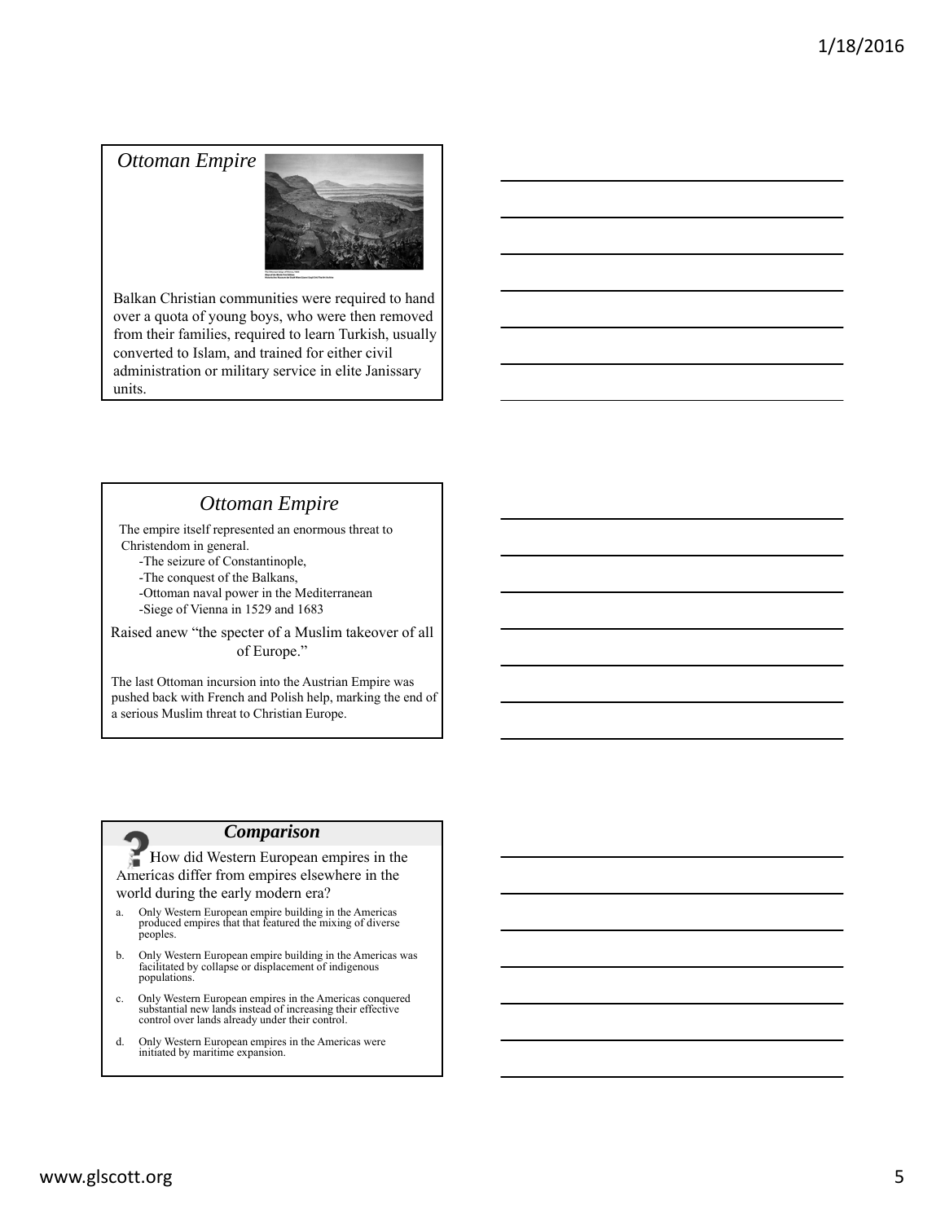### *Ottoman Empire*



Balkan Christian communities were required to hand over a quota of young boys, who were then removed from their families, required to learn Turkish, usually converted to Islam, and trained for either civil administration or military service in elite Janissary units.

## *Ottoman Empire*

The empire itself represented an enormous threat to Christendom in general.

- -The seizure of Constantinople,
- -The conquest of the Balkans,
- -Ottoman naval power in the Mediterranean -Siege of Vienna in 1529 and 1683

Raised anew "the specter of a Muslim takeover of all of Europe."

The last Ottoman incursion into the Austrian Empire was pushed back with French and Polish help, marking the end of a serious Muslim threat to Christian Europe.

#### *Comparison*

How did Western European empires in the Americas differ from empires elsewhere in the world during the early modern era?

- a. Only Western European empire building in the Americas produced empires that that featured the mixing of diverse peoples.
- b. Only Western European empire building in the Americas was facilitated by collapse or displacement of indigenous populations.
- c. Only Western European empires in the Americas conquered substantial new lands instead of increasing their effective control over lands already under their control.
- d. Only Western European empires in the Americas were initiated by maritime expansion.